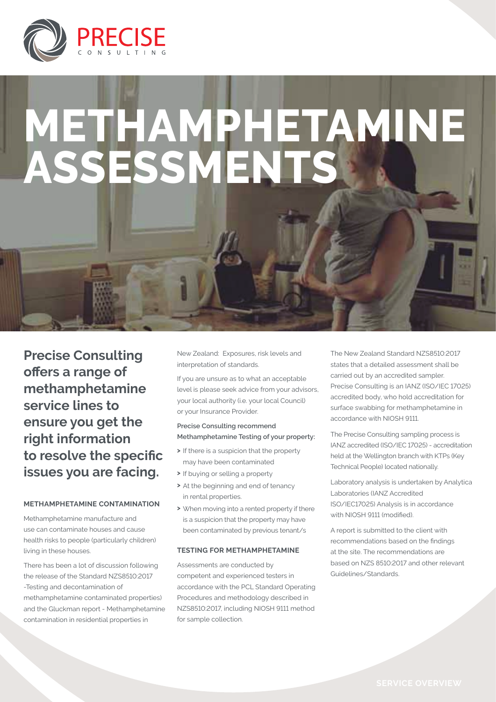

# **METHAMPHETAMIN ASSESSMENT**

**Precise Consulting offers a range of methamphetamine service lines to ensure you get the right information to resolve the specific issues you are facing.**

#### **Methamphetamine Contamination**

Methamphetamine manufacture and use can contaminate houses and cause health risks to people (particularly children) living in these houses.

There has been a lot of discussion following the release of the Standard NZS8510:2017 -Testing and decontamination of methamphetamine contaminated properties) and the Gluckman report - Methamphetamine contamination in residential properties in

New Zealand: Exposures, risk levels and interpretation of standards.

If you are unsure as to what an acceptable level is please seek advice from your advisors, your local authority (i.e. your local Council) or your Insurance Provider.

### **Precise Consulting recommend Methamphetamine Testing of your property:**

- **>** If there is a suspicion that the property may have been contaminated
- **>** If buying or selling a property
- **>** At the beginning and end of tenancy in rental properties.
- **>** When moving into a rented property if there is a suspicion that the property may have been contaminated by previous tenant/s

#### **Testing for methamphetamine**

Assessments are conducted by competent and experienced testers in accordance with the PCL Standard Operating Procedures and methodology described in NZS8510:2017, including NIOSH 9111 method for sample collection.

The New Zealand Standard NZS8510:2017 states that a detailed assessment shall be carried out by an accredited sampler. Precise Consulting is an IANZ (ISO/IEC 17025) accredited body, who hold accreditation for surface swabbing for methamphetamine in accordance with NIOSH 9111.

The Precise Consulting sampling process is IANZ accredited (ISO/IEC 17025) - accreditation held at the Wellington branch with KTPs (Key Technical People) located nationally.

Laboratory analysis is undertaken by Analytica Laboratories (IANZ Accredited ISO/IEC17025) Analysis is in accordance with NIOSH 9111 (modified).

A report is submitted to the client with recommendations based on the findings at the site. The recommendations are based on NZS 8510:2017 and other relevant Guidelines/Standards.